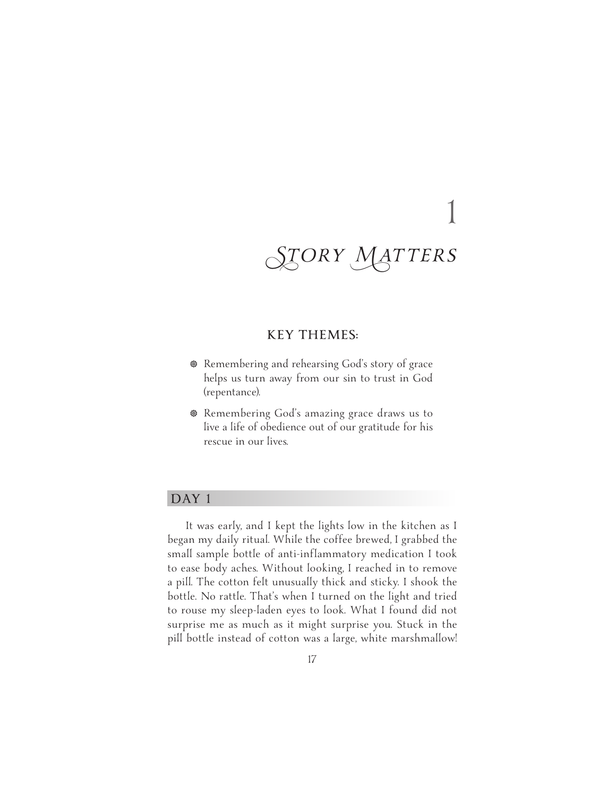# **KEY THEMES:**

- **B** Remembering and rehearsing God's story of grace helps us turn away from our sin to trust in God (repentance).
- **<sup>®</sup>** Remembering God's amazing grace draws us to live a life of obedience out of our gratitude for his rescue in our lives.

# **DAY 1**

It was early, and I kept the lights low in the kitchen as I began my daily ritual. While the coffee brewed, I grabbed the small sample bottle of anti-inflammatory medication I took to ease body aches. Without looking, I reached in to remove a pill. The cotton felt unusually thick and sticky. I shook the bottle. No rattle. That's when I turned on the light and tried to rouse my sleep-laden eyes to look. What I found did not surprise me as much as it might surprise you. Stuck in the pill bottle instead of cotton was a large, white marshmallow!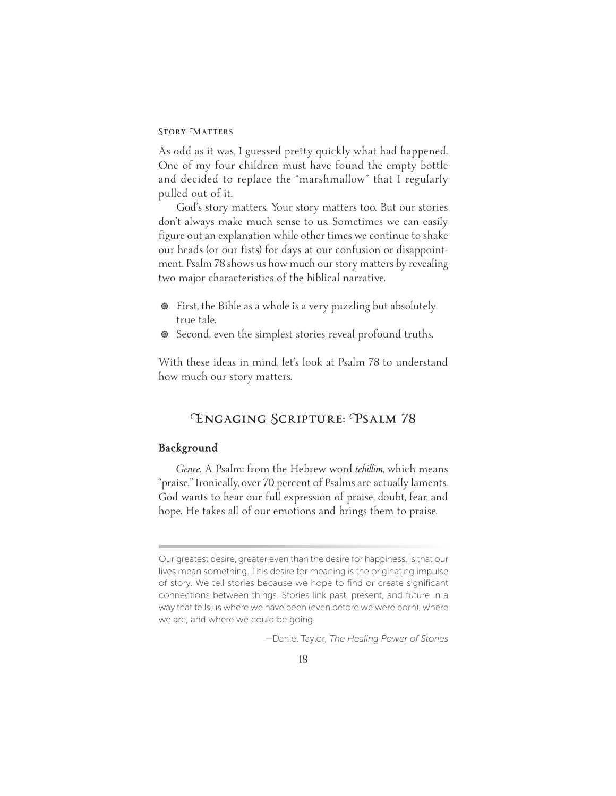As odd as it was, I guessed pretty quickly what had happened. One of my four children must have found the empty bottle and decided to replace the "marshmallow" that I regularly pulled out of it.

God's story matters. Your story matters too. But our stories don't always make much sense to us. Sometimes we can easily figure out an explanation while other times we continue to shake our heads (or our fists) for days at our confusion or disappointment. Psalm 78 shows us how much our story matters by revealing two major characteristics of the biblical narrative.

- First, the Bible as a whole is a very puzzling but absolutely true tale.
- $\circ$  Second, even the simplest stories reveal profound truths.

With these ideas in mind, let's look at Psalm 78 to understand how much our story matters.

# **Engaging Scripture: Psalm 78**

## **Background**

*Genre.* A Psalm: from the Hebrew word *tehillim*, which means "praise." Ironically, over 70 percent of Psalms are actually laments. God wants to hear our full expression of praise, doubt, fear, and hope. He takes all of our emotions and brings them to praise.

—Daniel Taylor, *The Healing Power of Stories*

Our greatest desire, greater even than the desire for happiness, is that our lives mean something. This desire for meaning is the originating impulse of story. We tell stories because we hope to find or create significant connections between things. Stories link past, present, and future in a way that tells us where we have been (even before we were born), where we are, and where we could be going.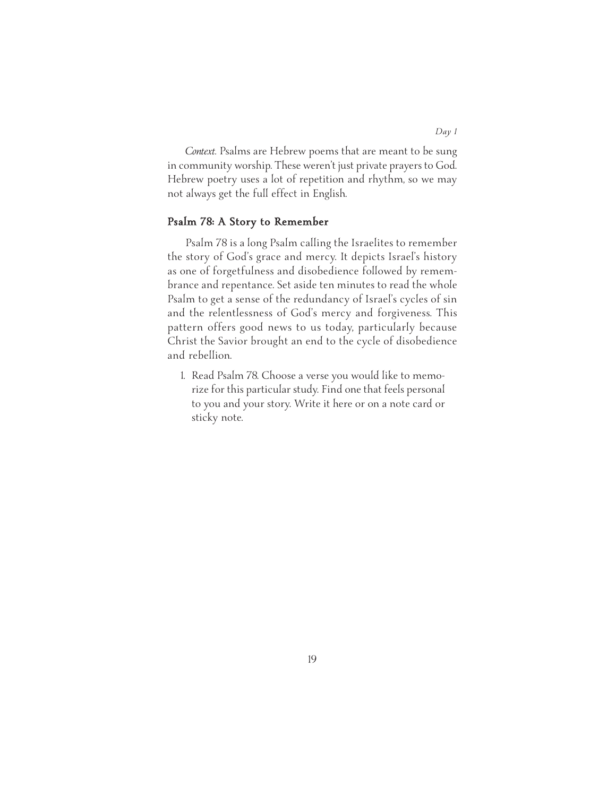*Context.* Psalms are Hebrew poems that are meant to be sung in community worship. These weren't just private prayers to God. Hebrew poetry uses a lot of repetition and rhythm, so we may not always get the full effect in English.

#### **Psalm 78: A Story to Remember**

Psalm 78 is a long Psalm calling the Israelites to remember the story of God's grace and mercy. It depicts Israel's history as one of forgetfulness and disobedience followed by remembrance and repentance. Set aside ten minutes to read the whole Psalm to get a sense of the redundancy of Israel's cycles of sin and the relentlessness of God's mercy and forgiveness. This pattern offers good news to us today, particularly because Christ the Savior brought an end to the cycle of disobedience and rebellion.

1. Read Psalm 78. Choose a verse you would like to memorize for this particular study. Find one that feels personal to you and your story. Write it here or on a note card or sticky note.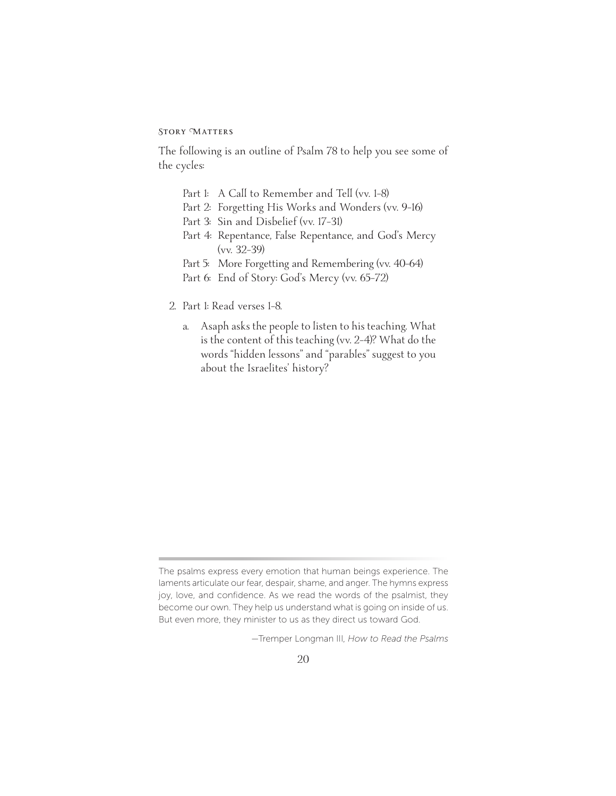The following is an outline of Psalm 78 to help you see some of the cycles:

- Part 1: A Call to Remember and Tell (vv. 1-8)
- Part 2: Forgetting His Works and Wonders (vv. 9–16)
- Part 3: Sin and Disbelief (vv. 17–31)
- Part 4: Repentance, False Repentance, and God's Mercy (vv. 32–39)
- Part 5: More Forgetting and Remembering (vv. 40-64)
- Part 6: End of Story: God's Mercy (vv. 65–72)
- 2. Part 1: Read verses 1–8.
	- a. Asaph asks the people to listen to his teaching. What is the content of this teaching (vv. 2–4)? What do the words "hidden lessons" and "parables" suggest to you about the Israelites' history?

—Tremper Longman III, *How to Read the Psalms* 

The psalms express every emotion that human beings experience. The laments articulate our fear, despair, shame, and anger. The hymns express joy, love, and confidence. As we read the words of the psalmist, they become our own. They help us understand what is going on inside of us. But even more, they minister to us as they direct us toward God.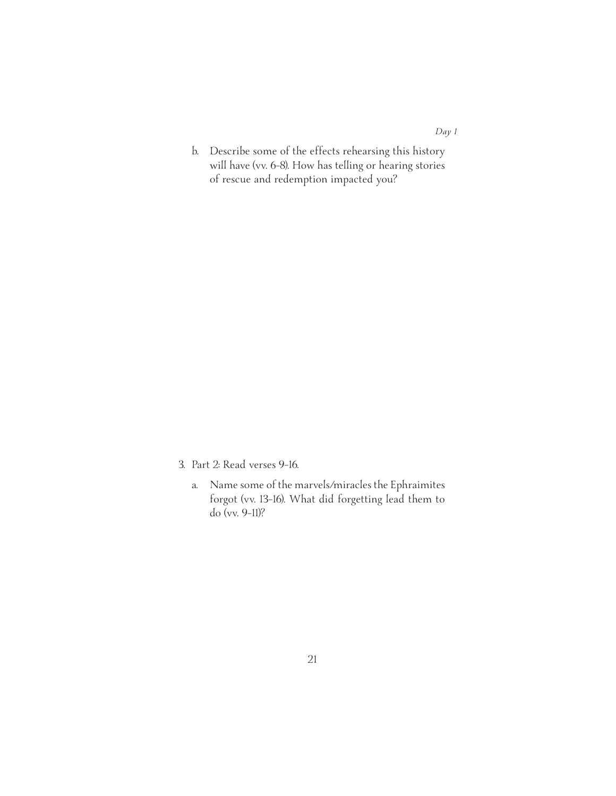- *Day 1*
- b. Describe some of the effects rehearsing this history will have (vv. 6–8). How has telling or hearing stories of rescue and redemption impacted you?

- 3. Part 2: Read verses 9–16.
	- a. Name some of the marvels/miracles the Ephraimites forgot (vv. 13–16). What did forgetting lead them to do (vv. 9–11)?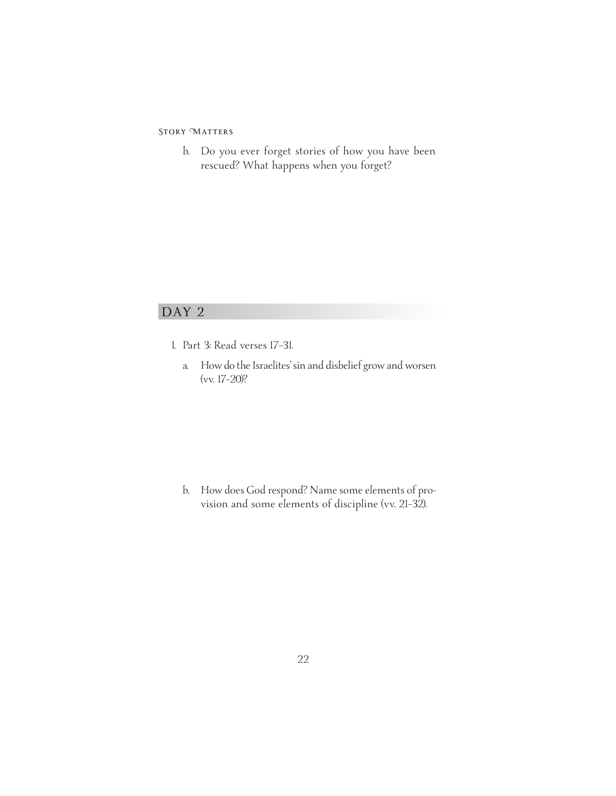b. Do you ever forget stories of how you have been rescued? What happens when you forget?

# **DAY 2**

- 1. Part 3: Read verses 17–31.
	- a. How do the Israelites'sin and disbelief grow and worsen (vv. 17–20)?

b. How does God respond? Name some elements of provision and some elements of discipline (vv. 21–32).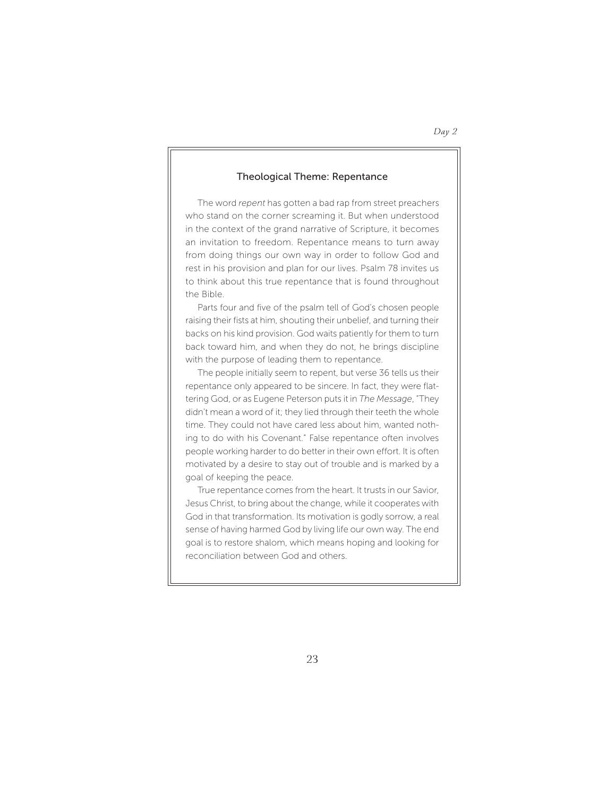#### Theological Theme: Repentance

The word *repent* has gotten a bad rap from street preachers who stand on the corner screaming it. But when understood in the context of the grand narrative of Scripture, it becomes an invitation to freedom. Repentance means to turn away from doing things our own way in order to follow God and rest in his provision and plan for our lives. Psalm 78 invites us to think about this true repentance that is found throughout the Bible.

Parts four and five of the psalm tell of God's chosen people raising their fists at him, shouting their unbelief, and turning their backs on his kind provision. God waits patiently for them to turn back toward him, and when they do not, he brings discipline with the purpose of leading them to repentance.

The people initially seem to repent, but verse 36 tells us their repentance only appeared to be sincere. In fact, they were flattering God, or as Eugene Peterson puts it in *The Message*, "They didn't mean a word of it; they lied through their teeth the whole time. They could not have cared less about him, wanted nothing to do with his Covenant." False repentance often involves people working harder to do better in their own effort. It is often motivated by a desire to stay out of trouble and is marked by a goal of keeping the peace.

True repentance comes from the heart. It trusts in our Savior, Jesus Christ, to bring about the change, while it cooperates with God in that transformation. Its motivation is godly sorrow, a real sense of having harmed God by living life our own way. The end goal is to restore shalom, which means hoping and looking for reconciliation between God and others.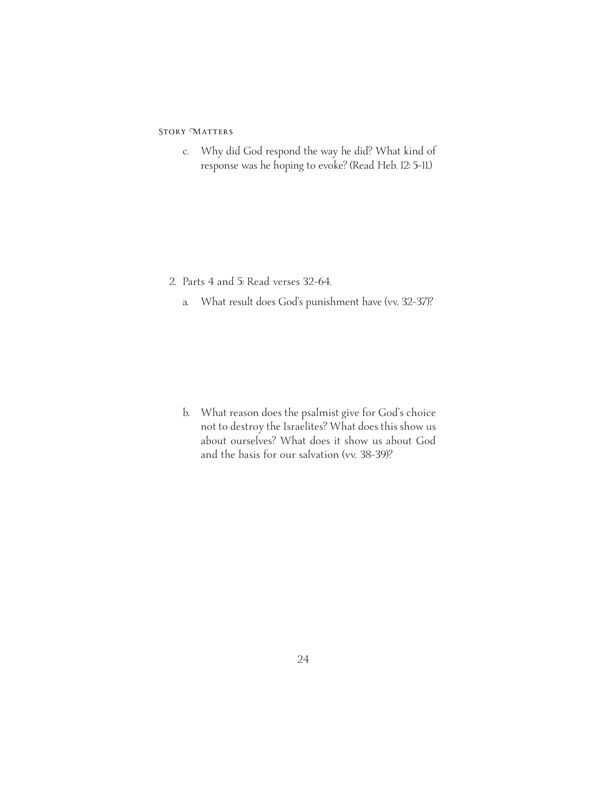c. Why did God respond the way he did? What kind of response was he hoping to evoke? (Read Heb. 12: 5–11.)

- 2. Parts 4 and 5: Read verses 32–64.
	- a. What result does God's punishment have (vv. 32–37)?

b. What reason does the psalmist give for God's choice not to destroy the Israelites? What does this show us about ourselves? What does it show us about God and the basis for our salvation (vv. 38–39)?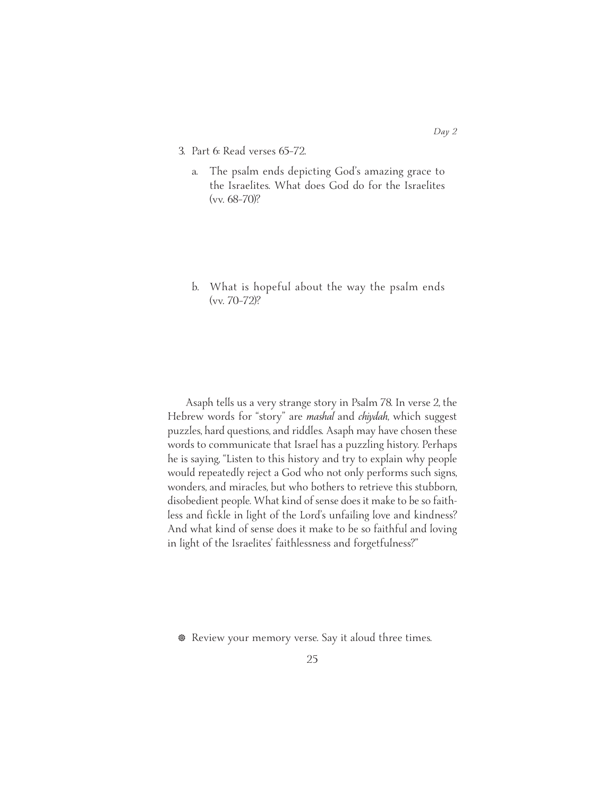- 3. Part 6: Read verses 65–72.
	- a. The psalm ends depicting God's amazing grace to the Israelites. What does God do for the Israelites (vv. 68–70)?
	- b. What is hopeful about the way the psalm ends (vv. 70–72)?

Asaph tells us a very strange story in Psalm 78. In verse 2, the Hebrew words for "story" are *mashal* and *chiydah*, which suggest puzzles, hard questions, and riddles. Asaph may have chosen these words to communicate that Israel has a puzzling history. Perhaps he is saying, "Listen to this history and try to explain why people would repeatedly reject a God who not only performs such signs, wonders, and miracles, but who bothers to retrieve this stubborn, disobedient people. What kind of sense does it make to be so faithless and fickle in light of the Lord's unfailing love and kindness? And what kind of sense does it make to be so faithful and loving in light of the Israelites' faithlessness and forgetfulness?"

**• Review your memory verse. Say it aloud three times.**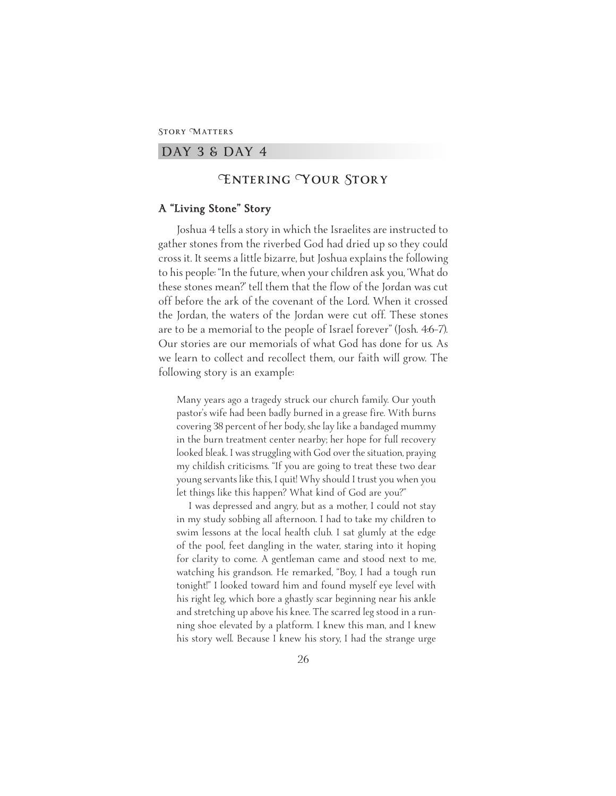#### **DAY 3 & DAY 4**

# **Entering Your Story**

#### **A "Living Stone" Story**

Joshua 4 tells a story in which the Israelites are instructed to gather stones from the riverbed God had dried up so they could cross it. It seems a little bizarre, but Joshua explains the following to his people: "In the future, when your children ask you, 'What do these stones mean?' tell them that the flow of the Jordan was cut off before the ark of the covenant of the Lord. When it crossed the Jordan, the waters of the Jordan were cut off. These stones are to be a memorial to the people of Israel forever" (Josh. 4:6–7). Our stories are our memorials of what God has done for us. As we learn to collect and recollect them, our faith will grow. The following story is an example:

Many years ago a tragedy struck our church family. Our youth pastor's wife had been badly burned in a grease fire. With burns covering 38 percent of her body, she lay like a bandaged mummy in the burn treatment center nearby; her hope for full recovery looked bleak. I was struggling with God over the situation, praying my childish criticisms. "If you are going to treat these two dear young servants like this, I quit! Why should I trust you when you let things like this happen? What kind of God are you?"

I was depressed and angry, but as a mother, I could not stay in my study sobbing all afternoon. I had to take my children to swim lessons at the local health club. I sat glumly at the edge of the pool, feet dangling in the water, staring into it hoping for clarity to come. A gentleman came and stood next to me, watching his grandson. He remarked, "Boy, I had a tough run tonight!" I looked toward him and found myself eye level with his right leg, which bore a ghastly scar beginning near his ankle and stretching up above his knee. The scarred leg stood in a running shoe elevated by a platform. I knew this man, and I knew his story well. Because I knew his story, I had the strange urge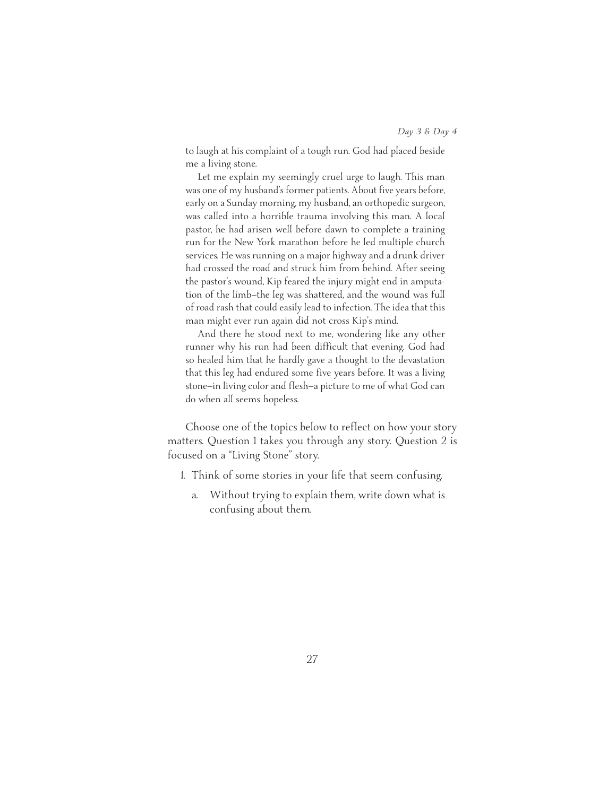to laugh at his complaint of a tough run. God had placed beside me a living stone.

Let me explain my seemingly cruel urge to laugh. This man was one of my husband's former patients. About five years before, early on a Sunday morning, my husband, an orthopedic surgeon, was called into a horrible trauma involving this man. A local pastor, he had arisen well before dawn to complete a training run for the New York marathon before he led multiple church services. He was running on a major highway and a drunk driver had crossed the road and struck him from behind. After seeing the pastor's wound, Kip feared the injury might end in amputation of the limb—the leg was shattered, and the wound was full of road rash that could easily lead to infection. The idea that this man might ever run again did not cross Kip's mind.

And there he stood next to me, wondering like any other runner why his run had been difficult that evening. God had so healed him that he hardly gave a thought to the devastation that this leg had endured some five years before. It was a living stone—in living color and flesh—a picture to me of what God can do when all seems hopeless.

Choose one of the topics below to reflect on how your story matters. Question 1 takes you through any story. Question 2 is focused on a "Living Stone" story.

- 1. Think of some stories in your life that seem confusing.
	- a. Without trying to explain them, write down what is confusing about them.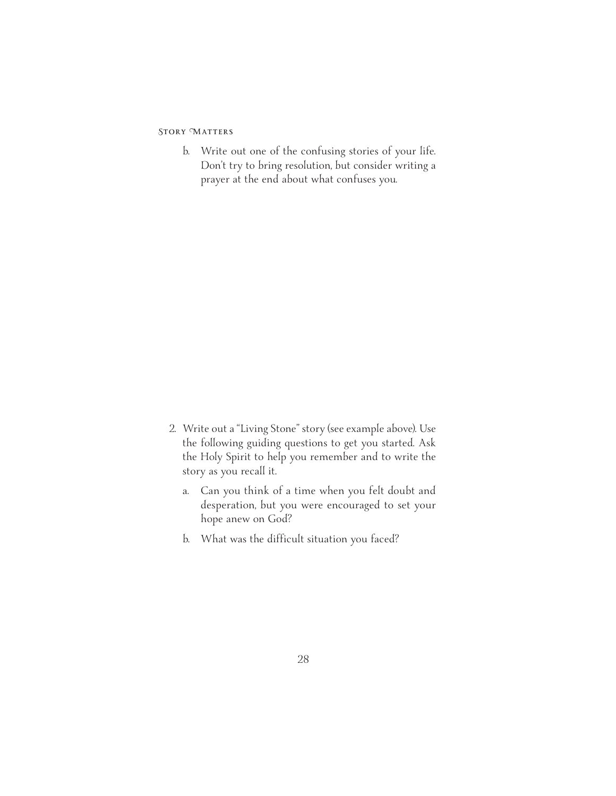b. Write out one of the confusing stories of your life. Don't try to bring resolution, but consider writing a prayer at the end about what confuses you.

- 2. Write out a "Living Stone" story (see example above). Use the following guiding questions to get you started. Ask the Holy Spirit to help you remember and to write the story as you recall it.
	- a. Can you think of a time when you felt doubt and desperation, but you were encouraged to set your hope anew on God?
	- b. What was the difficult situation you faced?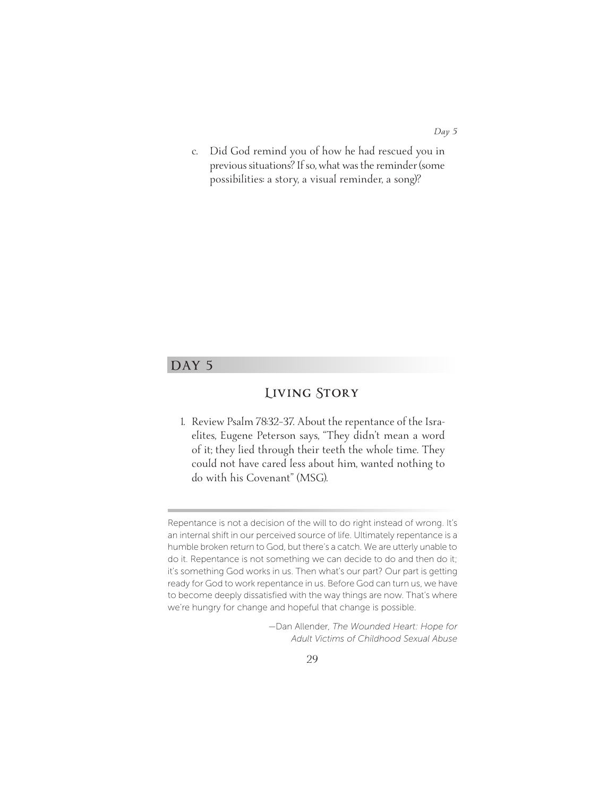*Day 5*

c. Did God remind you of how he had rescued you in previous situations? If so, what was the reminder (some possibilities: a story, a visual reminder, a song)?

# **DAY 5**

# **Living Story**

1. Review Psalm 78:32–37. About the repentance of the Israelites, Eugene Peterson says, "They didn't mean a word of it; they lied through their teeth the whole time. They could not have cared less about him, wanted nothing to do with his Covenant" (MSG).

Repentance is not a decision of the will to do right instead of wrong. It's an internal shift in our perceived source of life. Ultimately repentance is a humble broken return to God, but there's a catch. We are utterly unable to do it. Repentance is not something we can decide to do and then do it; it's something God works in us. Then what's our part? Our part is getting ready for God to work repentance in us. Before God can turn us, we have to become deeply dissatisfied with the way things are now. That's where we're hungry for change and hopeful that change is possible.

<sup>—</sup>Dan Allender, *The Wounded Heart: Hope for Adult Victims of Childhood Sexual Abuse*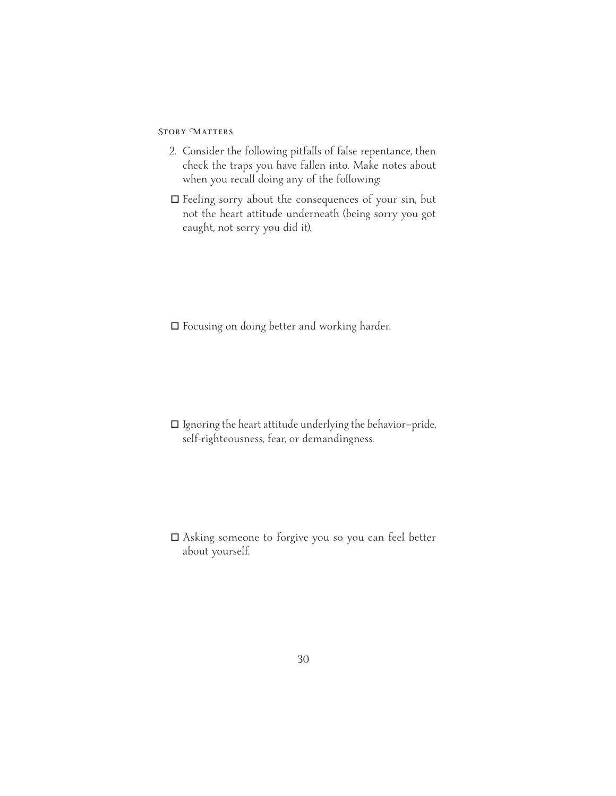- 2. Consider the following pitfalls of false repentance, then check the traps you have fallen into. Make notes about when you recall doing any of the following:
- $\Box$  Feeling sorry about the consequences of your sin, but not the heart attitude underneath (being sorry you got caught, not sorry you did it).

 $\Box$  Focusing on doing better and working harder.

 $\Box$  Ignoring the heart attitude underlying the behavior-pride, self-righteousness, fear, or demandingness.

! Asking someone to forgive you so you can feel better about yourself.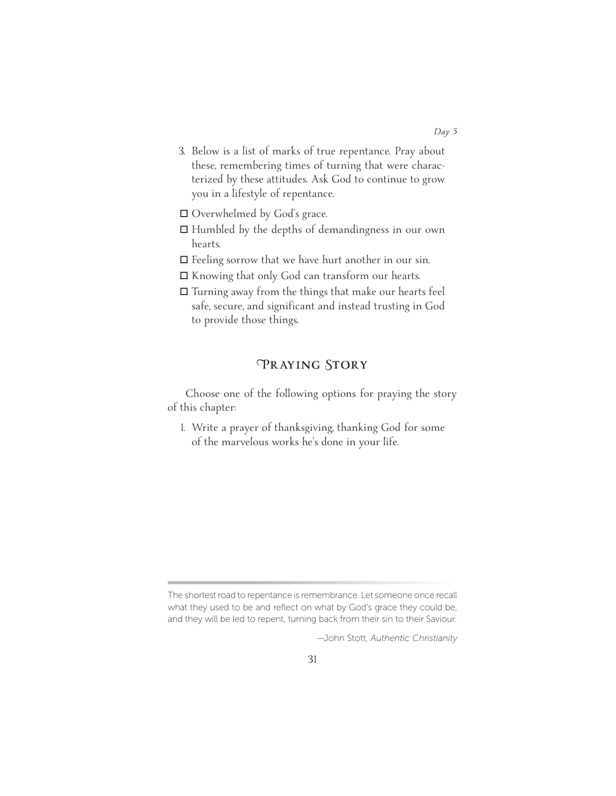- 3. Below is a list of marks of true repentance. Pray about these, remembering times of turning that were characterized by these attitudes. Ask God to continue to grow you in a lifestyle of repentance.
- □ Overwhelmed by God's grace.
- $\Box$  Humbled by the depths of demandingness in our own hearts.
- $\Box$  Feeling sorrow that we have hurt another in our sin.
- $\Box$  Knowing that only God can transform our hearts.
- $\Box$  Turning away from the things that make our hearts feel safe, secure, and significant and instead trusting in God to provide those things.

# **Praying Story**

Choose one of the following options for praying the story of this chapter:

1. Write a prayer of thanksgiving, thanking God for some of the marvelous works he's done in your life.

The shortest road to repentance is remembrance. Let someone once recall what they used to be and reflect on what by God's grace they could be, and they will be led to repent, turning back from their sin to their Saviour.

<sup>—</sup>John Stott, *Authentic Christianity*